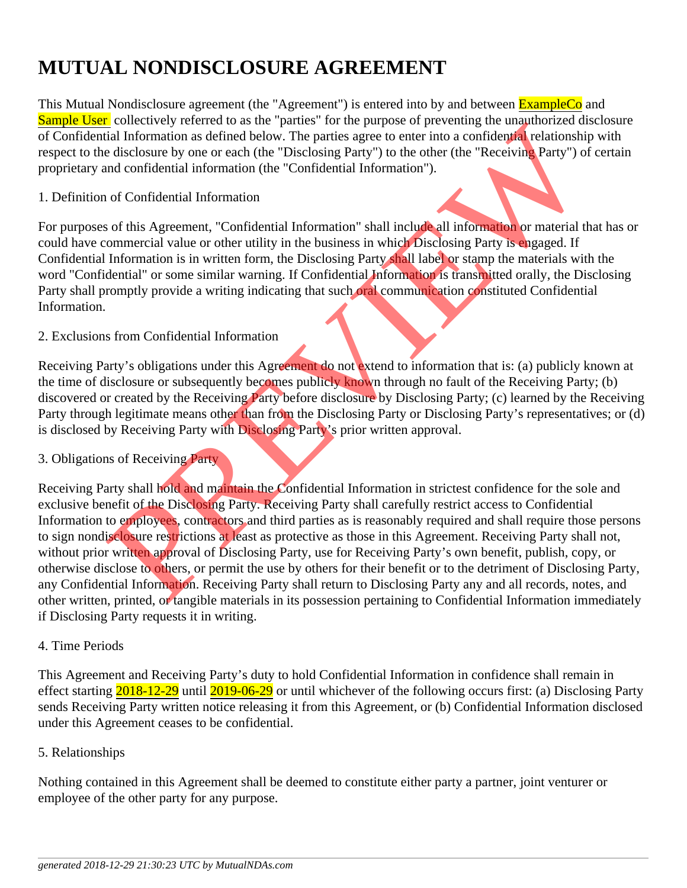# **MUTUAL NONDISCLOSURE AGREEMENT**

This Mutual Nondisclosure agreement (the "Agreement") is entered into by and between **ExampleCo** and Sample User collectively referred to as the "parties" for the purpose of preventing the unauthorized disclosure of Confidential Information as defined below. The parties agree to enter into a confidential relationship with respect to the disclosure by one or each (the "Disclosing Party") to the other (the "Receiving Party") of certain proprietary and confidential information (the "Confidential Information").

## 1. Definition of Confidential Information

For purposes of this Agreement, "Confidential Information" shall include all information or material that has or could have commercial value or other utility in the business in which Disclosing Party is engaged. If Confidential Information is in written form, the Disclosing Party shall label or stamp the materials with the word "Confidential" or some similar warning. If Confidential Information is transmitted orally, the Disclosing Party shall promptly provide a writing indicating that such oral communication constituted Confidential Information.

# 2. Exclusions from Confidential Information

Receiving Party's obligations under this Agreement do not extend to information that is: (a) publicly known at the time of disclosure or subsequently becomes publicly known through no fault of the Receiving Party; (b) discovered or created by the Receiving Party before disclosure by Disclosing Party; (c) learned by the Receiving Party through legitimate means other than from the Disclosing Party or Disclosing Party's representatives; or (d) is disclosed by Receiving Party with Disclosing Party's prior written approval.

# 3. Obligations of Receiving Party

Receiving Party shall hold and maintain the Confidential Information in strictest confidence for the sole and exclusive benefit of the Disclosing Party. Receiving Party shall carefully restrict access to Confidential Information to employees, contractors and third parties as is reasonably required and shall require those persons to sign nondisclosure restrictions at least as protective as those in this Agreement. Receiving Party shall not, without prior written approval of Disclosing Party, use for Receiving Party's own benefit, publish, copy, or otherwise disclose to others, or permit the use by others for their benefit or to the detriment of Disclosing Party, any Confidential Information. Receiving Party shall return to Disclosing Party any and all records, notes, and other written, printed, or tangible materials in its possession pertaining to Confidential Information immediately if Disclosing Party requests it in writing. **Example the control of the Confidential Information and the Confidential Information as defined below. The parties agree to enter into a confidential relationship with<br>tial Information as defined below. The parties agree** 

## 4. Time Periods

This Agreement and Receiving Party's duty to hold Confidential Information in confidence shall remain in effect starting 2018-12-29 until 2019-06-29 or until whichever of the following occurs first: (a) Disclosing Party sends Receiving Party written notice releasing it from this Agreement, or (b) Confidential Information disclosed under this Agreement ceases to be confidential.

## 5. Relationships

Nothing contained in this Agreement shall be deemed to constitute either party a partner, joint venturer or employee of the other party for any purpose.